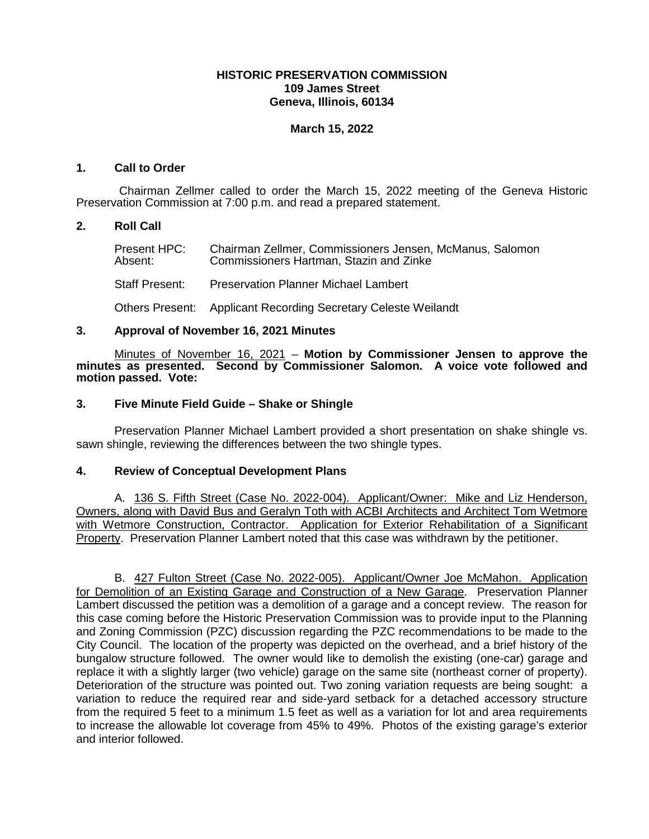# **HISTORIC PRESERVATION COMMISSION 109 James Street Geneva, Illinois, 60134**

# **March 15, 2022**

## **1. Call to Order**

Chairman Zellmer called to order the March 15, 2022 meeting of the Geneva Historic Preservation Commission at 7:00 p.m. and read a prepared statement.

## **2. Roll Call**

Present HPC: Chairman Zellmer, Commissioners Jensen, McManus, Salomon<br>Absent: Commissioners Hartman. Stazin and Zinke Commissioners Hartman, Stazin and Zinke

Staff Present: Preservation Planner Michael Lambert

Others Present: Applicant Recording Secretary Celeste Weilandt

## **3. Approval of November 16, 2021 Minutes**

Minutes of November 16, 2021 – **Motion by Commissioner Jensen to approve the minutes as presented. Second by Commissioner Salomon. A voice vote followed and motion passed. Vote:** 

## **3. Five Minute Field Guide – Shake or Shingle**

Preservation Planner Michael Lambert provided a short presentation on shake shingle vs. sawn shingle, reviewing the differences between the two shingle types.

# **4. Review of Conceptual Development Plans**

A. 136 S. Fifth Street (Case No. 2022-004). Applicant/Owner: Mike and Liz Henderson, Owners, along with David Bus and Geralyn Toth with ACBI Architects and Architect Tom Wetmore with Wetmore Construction, Contractor. Application for Exterior Rehabilitation of a Significant Property. Preservation Planner Lambert noted that this case was withdrawn by the petitioner.

B. 427 Fulton Street (Case No. 2022-005). Applicant/Owner Joe McMahon. Application for Demolition of an Existing Garage and Construction of a New Garage. Preservation Planner Lambert discussed the petition was a demolition of a garage and a concept review. The reason for this case coming before the Historic Preservation Commission was to provide input to the Planning and Zoning Commission (PZC) discussion regarding the PZC recommendations to be made to the City Council. The location of the property was depicted on the overhead, and a brief history of the bungalow structure followed. The owner would like to demolish the existing (one-car) garage and replace it with a slightly larger (two vehicle) garage on the same site (northeast corner of property). Deterioration of the structure was pointed out. Two zoning variation requests are being sought: a variation to reduce the required rear and side-yard setback for a detached accessory structure from the required 5 feet to a minimum 1.5 feet as well as a variation for lot and area requirements to increase the allowable lot coverage from 45% to 49%. Photos of the existing garage's exterior and interior followed.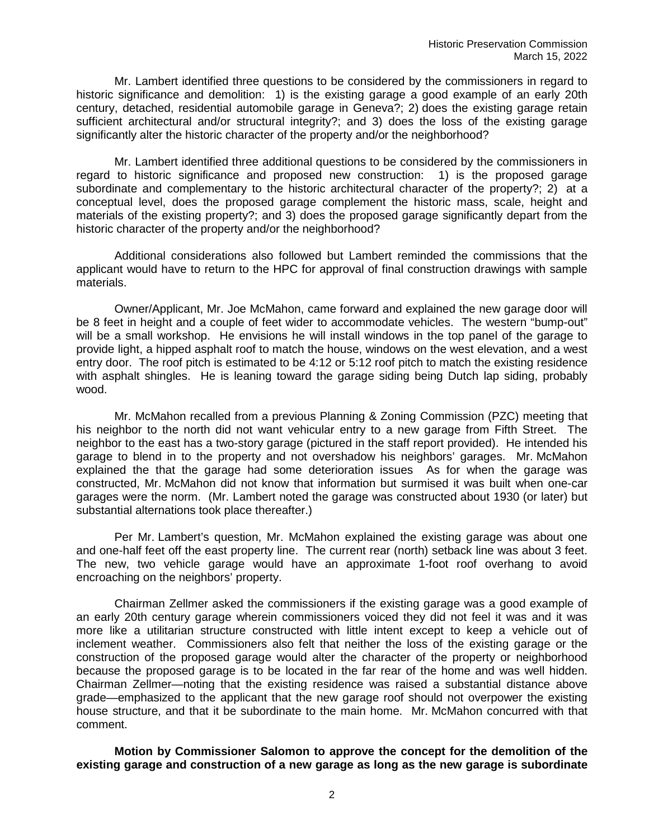Mr. Lambert identified three questions to be considered by the commissioners in regard to historic significance and demolition: 1) is the existing garage a good example of an early 20th century, detached, residential automobile garage in Geneva?; 2) does the existing garage retain sufficient architectural and/or structural integrity?; and 3) does the loss of the existing garage significantly alter the historic character of the property and/or the neighborhood?

Mr. Lambert identified three additional questions to be considered by the commissioners in regard to historic significance and proposed new construction: 1) is the proposed garage subordinate and complementary to the historic architectural character of the property?; 2) at a conceptual level, does the proposed garage complement the historic mass, scale, height and materials of the existing property?; and 3) does the proposed garage significantly depart from the historic character of the property and/or the neighborhood?

Additional considerations also followed but Lambert reminded the commissions that the applicant would have to return to the HPC for approval of final construction drawings with sample materials.

Owner/Applicant, Mr. Joe McMahon, came forward and explained the new garage door will be 8 feet in height and a couple of feet wider to accommodate vehicles. The western "bump-out" will be a small workshop. He envisions he will install windows in the top panel of the garage to provide light, a hipped asphalt roof to match the house, windows on the west elevation, and a west entry door. The roof pitch is estimated to be 4:12 or 5:12 roof pitch to match the existing residence with asphalt shingles. He is leaning toward the garage siding being Dutch lap siding, probably wood.

Mr. McMahon recalled from a previous Planning & Zoning Commission (PZC) meeting that his neighbor to the north did not want vehicular entry to a new garage from Fifth Street. The neighbor to the east has a two-story garage (pictured in the staff report provided). He intended his garage to blend in to the property and not overshadow his neighbors' garages. Mr. McMahon explained the that the garage had some deterioration issues As for when the garage was constructed, Mr. McMahon did not know that information but surmised it was built when one-car garages were the norm. (Mr. Lambert noted the garage was constructed about 1930 (or later) but substantial alternations took place thereafter.)

Per Mr. Lambert's question, Mr. McMahon explained the existing garage was about one and one-half feet off the east property line. The current rear (north) setback line was about 3 feet. The new, two vehicle garage would have an approximate 1-foot roof overhang to avoid encroaching on the neighbors' property.

Chairman Zellmer asked the commissioners if the existing garage was a good example of an early 20th century garage wherein commissioners voiced they did not feel it was and it was more like a utilitarian structure constructed with little intent except to keep a vehicle out of inclement weather. Commissioners also felt that neither the loss of the existing garage or the construction of the proposed garage would alter the character of the property or neighborhood because the proposed garage is to be located in the far rear of the home and was well hidden. Chairman Zellmer—noting that the existing residence was raised a substantial distance above grade—emphasized to the applicant that the new garage roof should not overpower the existing house structure, and that it be subordinate to the main home. Mr. McMahon concurred with that comment.

**Motion by Commissioner Salomon to approve the concept for the demolition of the existing garage and construction of a new garage as long as the new garage is subordinate**